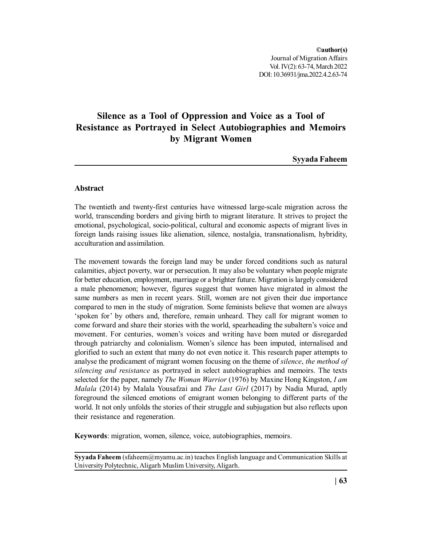Journal of Migration Affairs **©author(s)** Vol. IV(2): 63-74, March 2022 DOI: 10.36931/jma.2022.4.2.63-74

# **Silence as a Tool of Oppression and Voice as a Tool of Resistance as Portrayed in Select Autobiographies and Memoirs by Migrant Women**

**Syyada Faheem**

# **Abstract**

The twentieth and twenty-first centuries have witnessed large-scale migration across the world, transcending borders and giving birth to migrant literature. It strives to project the emotional, psychological, socio-political, cultural and economic aspects of migrant lives in foreign lands raising issues like alienation, silence, nostalgia, transnationalism, hybridity, acculturation and assimilation.

The movement towards the foreign land may be under forced conditions such as natural calamities, abject poverty, war or persecution. It may also be voluntary when people migrate for better education, employment, marriage or a brighter future. Migration is largely considered a male phenomenon; however, figures suggest that women have migrated in almost the same numbers as men in recent years. Still, women are not given their due importance compared to men in the study of migration. Some feminists believe that women are always 'spoken for' by others and, therefore, remain unheard. They call for migrant women to come forward and share their stories with the world, spearheading the subaltern's voice and movement. For centuries, women's voices and writing have been muted or disregarded through patriarchy and colonialism. Women's silence has been imputed, internalised and glorified to such an extent that many do not even notice it. This research paper attempts to analyse the predicament of migrant women focusing on the theme of *silence*, *the method of silencing and resistance* as portrayed in select autobiographies and memoirs. The texts selected for the paper, namely *The Woman Warrior* (1976) by Maxine Hong Kingston, *I am Malala* (2014) by Malala Yousafzai and *The Last Girl* (2017) by Nadia Murad, aptly foreground the silenced emotions of emigrant women belonging to different parts of the world. It not only unfolds the stories of their struggle and subjugation but also reflects upon their resistance and regeneration.

**Keywords**: migration, women, silence, voice, autobiographies, memoirs.

**Syyada Faheem** (sfaheem@myamu.ac.in) teaches English language and Communication Skills at University Polytechnic, Aligarh Muslim University, Aligarh.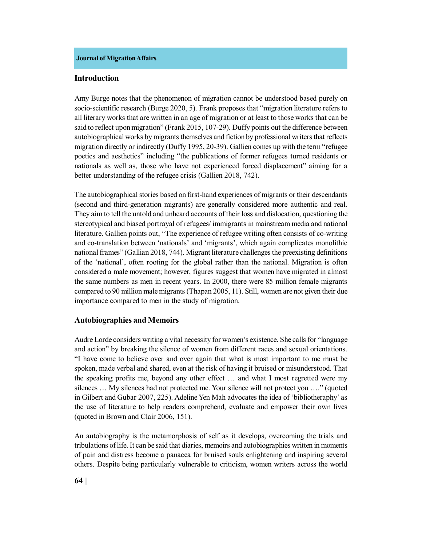#### **Introduction**

Amy Burge notes that the phenomenon of migration cannot be understood based purely on socio-scientific research (Burge 2020, 5). Frank proposes that "migration literature refers to all literary works that are written in an age of migration or at least to those works that can be said to reflect upon migration" (Frank 2015, 107-29). Duffy points out the difference between autobiographical works by migrants themselves and fiction by professional writers that reflects migration directly or indirectly (Duffy 1995, 20-39). Gallien comes up with the term "refugee poetics and aesthetics" including "the publications of former refugees turned residents or nationals as well as, those who have not experienced forced displacement" aiming for a better understanding of the refugee crisis (Gallien 2018, 742).

The autobiographical stories based on first-hand experiences of migrants or their descendants (second and third-generation migrants) are generally considered more authentic and real. They aim to tell the untold and unheard accounts of their loss and dislocation, questioning the stereotypical and biased portrayal of refugees/ immigrants in mainstream media and national literature. Gallien points out, "The experience of refugee writing often consists of co-writing and co-translation between 'nationals' and 'migrants', which again complicates monolithic national frames" (Gallian 2018, 744). Migrant literature challenges the preexisting definitions of the 'national', often rooting for the global rather than the national. Migration is often considered a male movement; however, figures suggest that women have migrated in almost the same numbers as men in recent years. In 2000, there were 85 million female migrants compared to 90 million male migrants (Thapan 2005, 11). Still, women are not given their due importance compared to men in the study of migration.

### **Autobiographies and Memoirs**

Audre Lorde considers writing a vital necessity for women's existence. She calls for "language and action" by breaking the silence of women from different races and sexual orientations. "I have come to believe over and over again that what is most important to me must be spoken, made verbal and shared, even at the risk of having it bruised or misunderstood. That the speaking profits me, beyond any other effect … and what I most regretted were my silences … My silences had not protected me. Your silence will not protect you …." (quoted in Gilbert and Gubar 2007, 225). Adeline Yen Mah advocates the idea of 'bibliotheraphy' as the use of literature to help readers comprehend, evaluate and empower their own lives (quoted in Brown and Clair 2006, 151).

An autobiography is the metamorphosis of self as it develops, overcoming the trials and tribulations of life. It can be said that diaries, memoirs and autobiographies written in moments of pain and distress become a panacea for bruised souls enlightening and inspiring several others. Despite being particularly vulnerable to criticism, women writers across the world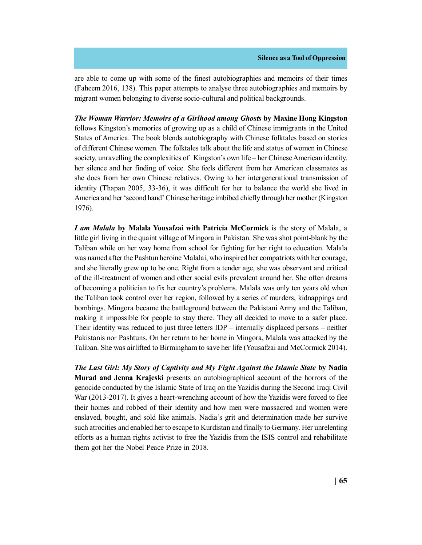are able to come up with some of the finest autobiographies and memoirs of their times (Faheem 2016, 138). This paper attempts to analyse three autobiographies and memoirs by migrant women belonging to diverse socio-cultural and political backgrounds.

*The Woman Warrior: Memoirs of a Girlhood among Ghosts* **by Maxine Hong Kingston** follows Kingston's memories of growing up as a child of Chinese immigrants in the United States of America. The book blends autobiography with Chinese folktales based on stories of different Chinese women. The folktales talk about the life and status of women in Chinese society, unravelling the complexities of Kingston's own life – her Chinese American identity, her silence and her finding of voice. She feels different from her American classmates as she does from her own Chinese relatives. Owing to her intergenerational transmission of identity (Thapan 2005, 33-36), it was difficult for her to balance the world she lived in America and her 'second hand' Chinese heritage imbibed chiefly through her mother (Kingston 1976).

*I am Malala* **by Malala Yousafzai with Patricia McCormick** is the story of Malala, a little girl living in the quaint village of Mingora in Pakistan. She was shot point-blank by the Taliban while on her way home from school for fighting for her right to education. Malala was named after the Pashtun heroine Malalai, who inspired her compatriots with her courage, and she literally grew up to be one. Right from a tender age, she was observant and critical of the ill-treatment of women and other social evils prevalent around her. She often dreams of becoming a politician to fix her country's problems. Malala was only ten years old when the Taliban took control over her region, followed by a series of murders, kidnappings and bombings. Mingora became the battleground between the Pakistani Army and the Taliban, making it impossible for people to stay there. They all decided to move to a safer place. Their identity was reduced to just three letters IDP – internally displaced persons – neither Pakistanis nor Pashtuns. On her return to her home in Mingora, Malala was attacked by the Taliban. She was airlifted to Birmingham to save her life (Yousafzai and McCormick 2014).

*The Last Girl: My Story of Captivity and My Fight Against the Islamic State* **by Nadia Murad and Jenna Krajeski** presents an autobiographical account of the horrors of the genocide conducted by the Islamic State of Iraq on the Yazidis during the Second Iraqi Civil War (2013-2017). It gives a heart-wrenching account of how the Yazidis were forced to flee their homes and robbed of their identity and how men were massacred and women were enslaved, bought, and sold like animals. Nadia's grit and determination made her survive such atrocities and enabled her to escape to Kurdistan and finally to Germany. Her unrelenting efforts as a human rights activist to free the Yazidis from the ISIS control and rehabilitate them got her the Nobel Peace Prize in 2018.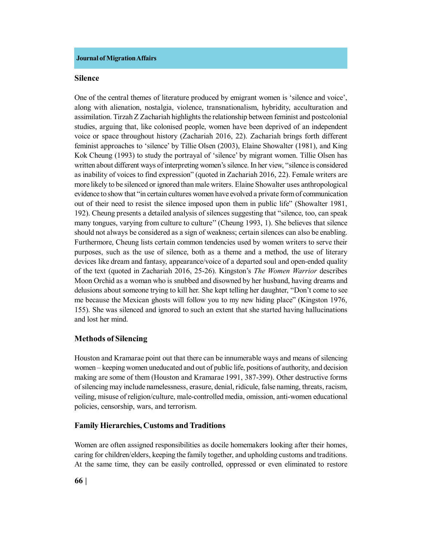#### **Silence**

One of the central themes of literature produced by emigrant women is 'silence and voice', along with alienation, nostalgia, violence, transnationalism, hybridity, acculturation and assimilation. Tirzah Z Zachariah highlights the relationship between feminist and postcolonial studies, arguing that, like colonised people, women have been deprived of an independent voice or space throughout history (Zachariah 2016, 22). Zachariah brings forth different feminist approaches to 'silence' by Tillie Olsen (2003), Elaine Showalter (1981), and King Kok Cheung (1993) to study the portrayal of 'silence' by migrant women. Tillie Olsen has written about different ways of interpreting women's silence. In her view, "silence is considered as inability of voices to find expression" (quoted in Zachariah 2016, 22). Female writers are more likely to be silenced or ignored than male writers. Elaine Showalter uses anthropological evidence to show that "in certain cultures women have evolved a private form of communication out of their need to resist the silence imposed upon them in public life" (Showalter 1981, 192). Cheung presents a detailed analysis of silences suggesting that "silence, too, can speak many tongues, varying from culture to culture'' (Cheung 1993, 1). She believes that silence should not always be considered as a sign of weakness; certain silences can also be enabling. Furthermore, Cheung lists certain common tendencies used by women writers to serve their purposes, such as the use of silence, both as a theme and a method, the use of literary devices like dream and fantasy, appearance/voice of a departed soul and open-ended quality of the text (quoted in Zachariah 2016, 25-26). Kingston's *The Women Warrior* describes Moon Orchid as a woman who is snubbed and disowned by her husband, having dreams and delusions about someone trying to kill her. She kept telling her daughter, "Don't come to see me because the Mexican ghosts will follow you to my new hiding place" (Kingston 1976, 155). She was silenced and ignored to such an extent that she started having hallucinations and lost her mind.

### **Methods of Silencing**

Houston and Kramarae point out that there can be innumerable ways and means of silencing women – keeping women uneducated and out of public life, positions of authority, and decision making are some of them (Houston and Kramarae 1991, 387-399). Other destructive forms of silencing may include namelessness, erasure, denial, ridicule, false naming, threats, racism, veiling, misuse of religion/culture, male-controlled media, omission, anti-women educational policies, censorship, wars, and terrorism.

# **Family Hierarchies, Customs and Traditions**

Women are often assigned responsibilities as docile homemakers looking after their homes, caring for children/elders, keeping the family together, and upholding customs and traditions. At the same time, they can be easily controlled, oppressed or even eliminated to restore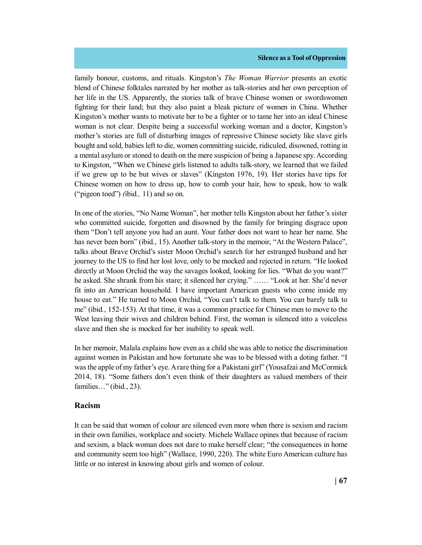#### **Silence as a Tool of Oppression**

family honour, customs, and rituals. Kingston's *The Woman Warrior* presents an exotic blend of Chinese folktales narrated by her mother as talk-stories and her own perception of her life in the US. Apparently, the stories talk of brave Chinese women or swordswomen fighting for their land; but they also paint a bleak picture of women in China. Whether Kingston's mother wants to motivate her to be a fighter or to tame her into an ideal Chinese woman is not clear. Despite being a successful working woman and a doctor, Kingston's mother's stories are full of disturbing images of repressive Chinese society like slave girls bought and sold, babies left to die, women committing suicide, ridiculed, disowned, rotting in a mental asylum or stoned to death on the mere suspicion of being a Japanese spy. According to Kingston, "When we Chinese girls listened to adults talk-story, we learned that we failed if we grew up to be but wives or slaves" (Kingston 1976, 19). Her stories have tips for Chinese women on how to dress up, how to comb your hair, how to speak, how to walk ("pigeon toed") *(*ibid*.,* 11) and so on.

In one of the stories, "No Name Woman", her mother tells Kingston about her father's sister who committed suicide, forgotten and disowned by the family for bringing disgrace upon them "Don't tell anyone you had an aunt. Your father does not want to hear her name. She has never been born" (ibid., 15). Another talk-story in the memoir, "At the Western Palace", talks about Brave Orchid's sister Moon Orchid's search for her estranged husband and her journey to the US to find her lost love, only to be mocked and rejected in return. "He looked directly at Moon Orchid the way the savages looked, looking for lies. "What do you want?" he asked. She shrank from his stare; it silenced her crying." …… "Look at her. She'd never fit into an American household. I have important American guests who come inside my house to eat." He turned to Moon Orchid, "You can't talk to them. You can barely talk to me" (ibid*.*, 152-153). At that time, it was a common practice for Chinese men to move to the West leaving their wives and children behind. First, the woman is silenced into a voiceless slave and then she is mocked for her inability to speak well.

In her memoir, Malala explains how even as a child she was able to notice the discrimination against women in Pakistan and how fortunate she was to be blessed with a doting father. "I was the apple of my father's eye. A rare thing for a Pakistani girl" (Yousafzai and McCormick 2014, 18). "Some fathers don't even think of their daughters as valued members of their families…" (ibid*.*, 23).

### **Racism**

It can be said that women of colour are silenced even more when there is sexism and racism in their own families, workplace and society. Michele Wallace opines that because of racism and sexism, a black woman does not dare to make herself clear; "the consequences in home and community seem too high" (Wallace, 1990, 220). The white Euro American culture has little or no interest in knowing about girls and women of colour.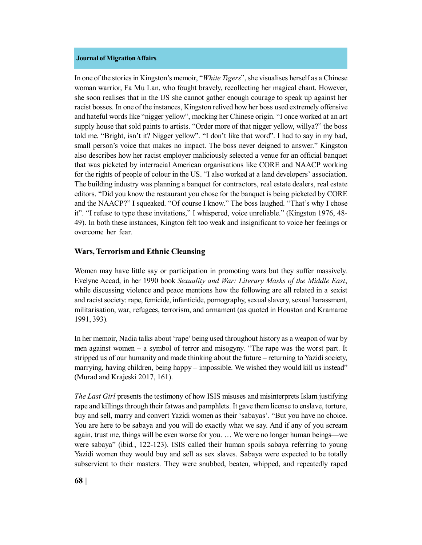In one of the stories in Kingston's memoir, "*White Tigers*", she visualises herself as a Chinese woman warrior, Fa Mu Lan, who fought bravely, recollecting her magical chant. However, she soon realises that in the US she cannot gather enough courage to speak up against her racist bosses. In one of the instances, Kingston relived how her boss used extremely offensive and hateful words like "nigger yellow", mocking her Chinese origin. "I once worked at an art supply house that sold paints to artists. "Order more of that nigger yellow, willya?" the boss told me. "Bright, isn't it? Nigger yellow". "I don't like that word". I had to say in my bad, small person's voice that makes no impact. The boss never deigned to answer." Kingston also describes how her racist employer maliciously selected a venue for an official banquet that was picketed by interracial American organisations like CORE and NAACP working for the rights of people of colour in the US. "I also worked at a land developers' association. The building industry was planning a banquet for contractors, real estate dealers, real estate editors. "Did you know the restaurant you chose for the banquet is being picketed by CORE and the NAACP?" I squeaked. "Of course I know." The boss laughed. "That's why I chose it". "I refuse to type these invitations," I whispered, voice unreliable." (Kingston 1976, 48- 49). In both these instances, Kington felt too weak and insignificant to voice her feelings or overcome her fear.

# **Wars, Terrorism and Ethnic Cleansing**

Women may have little say or participation in promoting wars but they suffer massively. Evelyne Accad, in her 1990 book *Sexuality and War: Literary Masks of the Middle East*, while discussing violence and peace mentions how the following are all related in a sexist and racist society: rape, femicide, infanticide, pornography, sexual slavery, sexual harassment, militarisation, war, refugees, terrorism, and armament (as quoted in Houston and Kramarae 1991, 393).

In her memoir, Nadia talks about 'rape' being used throughout history as a weapon of war by men against women – a symbol of terror and misogyny. "The rape was the worst part. It stripped us of our humanity and made thinking about the future – returning to Yazidi society, marrying, having children, being happy – impossible. We wished they would kill us instead" (Murad and Krajeski 2017, 161).

*The Last Girl* presents the testimony of how ISIS misuses and misinterprets Islam justifying rape and killings through their fatwas and pamphlets. It gave them license to enslave, torture, buy and sell, marry and convert Yazidi women as their 'sabayas'. "But you have no choice. You are here to be sabaya and you will do exactly what we say. And if any of you scream again, trust me, things will be even worse for you. … We were no longer human beings—we were sabaya" (ibid*.*, 122-123). ISIS called their human spoils sabaya referring to young Yazidi women they would buy and sell as sex slaves. Sabaya were expected to be totally subservient to their masters. They were snubbed, beaten, whipped, and repeatedly raped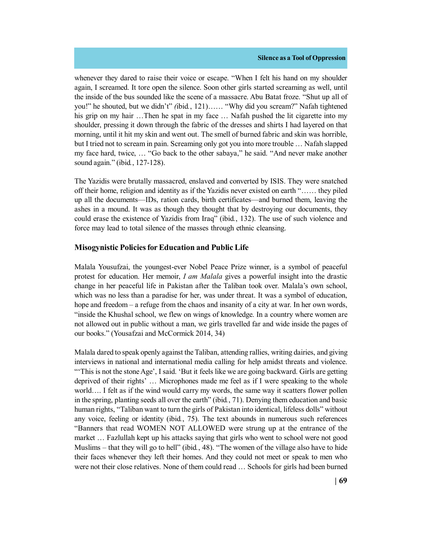whenever they dared to raise their voice or escape. "When I felt his hand on my shoulder again, I screamed. It tore open the silence. Soon other girls started screaming as well, until the inside of the bus sounded like the scene of a massacre. Abu Batat froze. "Shut up all of you!" he shouted, but we didn't" *(*ibid*.*, 121)…… "Why did you scream?" Nafah tightened his grip on my hair ...Then he spat in my face ... Nafah pushed the lit cigarette into my shoulder, pressing it down through the fabric of the dresses and shirts I had layered on that morning, until it hit my skin and went out. The smell of burned fabric and skin was horrible, but I tried not to scream in pain. Screaming only got you into more trouble … Nafah slapped my face hard, twice, … "Go back to the other sabaya," he said. "And never make another sound again." (ibid*.*, 127-128).

The Yazidis were brutally massacred, enslaved and converted by ISIS. They were snatched off their home, religion and identity as if the Yazidis never existed on earth "…… they piled up all the documents—IDs, ration cards, birth certificates—and burned them, leaving the ashes in a mound. It was as though they thought that by destroying our documents, they could erase the existence of Yazidis from Iraq" (ibid*.*, 132). The use of such violence and force may lead to total silence of the masses through ethnic cleansing.

# **Misogynistic Policies for Education and Public Life**

Malala Yousufzai, the youngest-ever Nobel Peace Prize winner, is a symbol of peaceful protest for education. Her memoir, *I am Malala* gives a powerful insight into the drastic change in her peaceful life in Pakistan after the Taliban took over. Malala's own school, which was no less than a paradise for her, was under threat. It was a symbol of education, hope and freedom – a refuge from the chaos and insanity of a city at war. In her own words, "inside the Khushal school, we flew on wings of knowledge. In a country where women are not allowed out in public without a man, we girls travelled far and wide inside the pages of our books." (Yousafzai and McCormick 2014, 34)

Malala dared to speak openly against the Taliban, attending rallies, writing dairies, and giving interviews in national and international media calling for help amidst threats and violence. "'This is not the stone Age', I said. 'But it feels like we are going backward. Girls are getting deprived of their rights' … Microphones made me feel as if I were speaking to the whole world…. I felt as if the wind would carry my words, the same way it scatters flower pollen in the spring, planting seeds all over the earth" (ibid*.*, 71). Denying them education and basic human rights, "Taliban want to turn the girls of Pakistan into identical, lifeless dolls" without any voice, feeling or identity (ibid*.*, 75). The text abounds in numerous such references "Banners that read WOMEN NOT ALLOWED were strung up at the entrance of the market … Fazlullah kept up his attacks saying that girls who went to school were not good Muslims – that they will go to hell" (ibid*.*, 48). "The women of the village also have to hide their faces whenever they left their homes. And they could not meet or speak to men who were not their close relatives. None of them could read … Schools for girls had been burned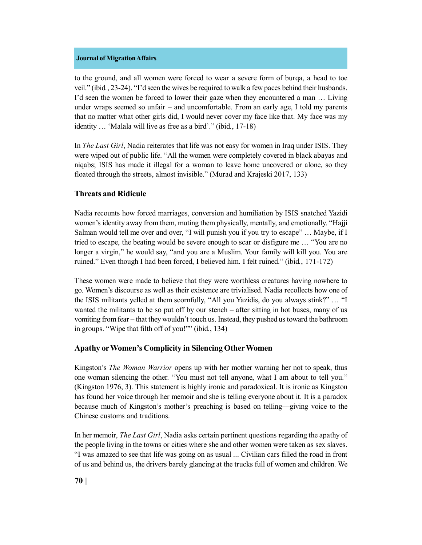to the ground, and all women were forced to wear a severe form of burqa, a head to toe veil." (ibid*.*, 23-24). "I'd seen the wives be required to walk a few paces behind their husbands. I'd seen the women be forced to lower their gaze when they encountered a man … Living under wraps seemed so unfair – and uncomfortable. From an early age, I told my parents that no matter what other girls did, I would never cover my face like that. My face was my identity … 'Malala will live as free as a bird'." (ibid*.*, 17-18)

In *The Last Girl*, Nadia reiterates that life was not easy for women in Iraq under ISIS. They were wiped out of public life. "All the women were completely covered in black abayas and niqabs; ISIS has made it illegal for a woman to leave home uncovered or alone, so they floated through the streets, almost invisible." (Murad and Krajeski 2017, 133)

# **Threats and Ridicule**

Nadia recounts how forced marriages, conversion and humiliation by ISIS snatched Yazidi women's identity away from them, muting them physically, mentally, and emotionally. "Hajji Salman would tell me over and over, "I will punish you if you try to escape" … Maybe, if I tried to escape, the beating would be severe enough to scar or disfigure me … "You are no longer a virgin," he would say, "and you are a Muslim. Your family will kill you. You are ruined." Even though I had been forced, I believed him. I felt ruined." (ibid*.*, 171-172)

These women were made to believe that they were worthless creatures having nowhere to go. Women's discourse as well as their existence are trivialised. Nadia recollects how one of the ISIS militants yelled at them scornfully, "All you Yazidis, do you always stink?" … "I wanted the militants to be so put off by our stench – after sitting in hot buses, many of us vomiting from fear – that they wouldn't touch us. Instead, they pushed us toward the bathroom in groups. "Wipe that filth off of you!"" (ibid*.*, 134)

# **Apathy or Women's Complicity in Silencing Other Women**

Kingston's *The Woman Warrior* opens up with her mother warning her not to speak, thus one woman silencing the other. "You must not tell anyone, what I am about to tell you." (Kingston 1976, 3). This statement is highly ironic and paradoxical. It is ironic as Kingston has found her voice through her memoir and she is telling everyone about it. It is a paradox because much of Kingston's mother's preaching is based on telling—giving voice to the Chinese customs and traditions.

In her memoir, *The Last Girl*, Nadia asks certain pertinent questions regarding the apathy of the people living in the towns or cities where she and other women were taken as sex slaves. "I was amazed to see that life was going on as usual ... Civilian cars filled the road in front of us and behind us, the drivers barely glancing at the trucks full of women and children. We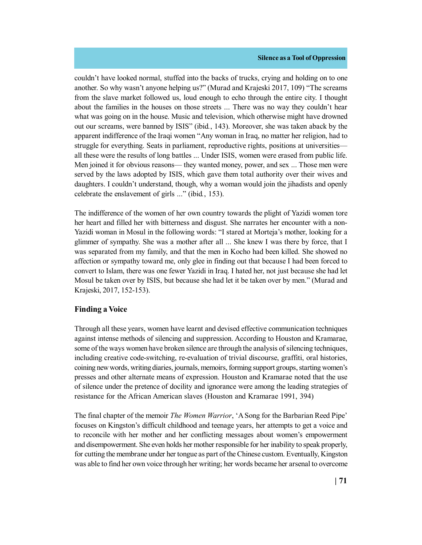couldn't have looked normal, stuffed into the backs of trucks, crying and holding on to one another. So why wasn't anyone helping us?" (Murad and Krajeski 2017, 109) "The screams from the slave market followed us, loud enough to echo through the entire city. I thought about the families in the houses on those streets ... There was no way they couldn't hear what was going on in the house. Music and television, which otherwise might have drowned out our screams, were banned by ISIS" (ibid*.*, 143). Moreover, she was taken aback by the apparent indifference of the Iraqi women "Any woman in Iraq, no matter her religion, had to struggle for everything. Seats in parliament, reproductive rights, positions at universities all these were the results of long battles ... Under ISIS, women were erased from public life. Men joined it for obvious reasons— they wanted money, power, and sex ... Those men were served by the laws adopted by ISIS, which gave them total authority over their wives and daughters. I couldn't understand, though, why a woman would join the jihadists and openly celebrate the enslavement of girls ..." (ibid*.*, 153).

The indifference of the women of her own country towards the plight of Yazidi women tore her heart and filled her with bitterness and disgust. She narrates her encounter with a non-Yazidi woman in Mosul in the following words: "I stared at Morteja's mother, looking for a glimmer of sympathy. She was a mother after all ... She knew I was there by force, that I was separated from my family, and that the men in Kocho had been killed. She showed no affection or sympathy toward me, only glee in finding out that because I had been forced to convert to Islam, there was one fewer Yazidi in Iraq. I hated her, not just because she had let Mosul be taken over by ISIS, but because she had let it be taken over by men." (Murad and Krajeski, 2017, 152-153).

# **Finding a Voice**

Through all these years, women have learnt and devised effective communication techniques against intense methods of silencing and suppression. According to Houston and Kramarae, some of the ways women have broken silence are through the analysis of silencing techniques, including creative code-switching, re-evaluation of trivial discourse, graffiti, oral histories, coining new words, writing diaries, journals, memoirs, forming support groups, starting women's presses and other alternate means of expression. Houston and Kramarae noted that the use of silence under the pretence of docility and ignorance were among the leading strategies of resistance for the African American slaves (Houston and Kramarae 1991, 394)

The final chapter of the memoir *The Women Warrior*, 'A Song for the Barbarian Reed Pipe' focuses on Kingston's difficult childhood and teenage years, her attempts to get a voice and to reconcile with her mother and her conflicting messages about women's empowerment and disempowerment. She even holds her mother responsible for her inability to speak properly, for cutting the membrane under her tongue as part of the Chinese custom. Eventually, Kingston was able to find her own voice through her writing; her words became her arsenal to overcome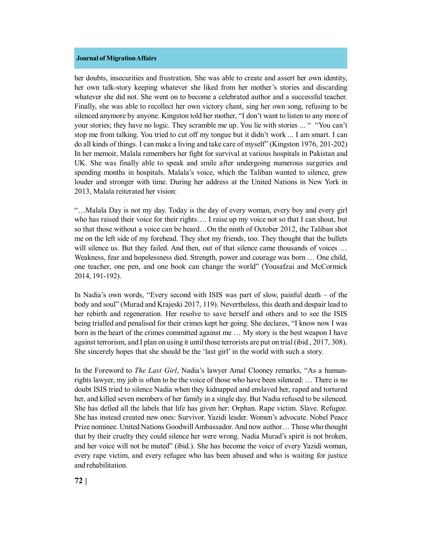her doubts, insecurities and frustration. She was able to create and assert her own identity, her own talk-story keeping whatever she liked from her mother's stories and discarding whatever she did not. She went on to become a celebrated author and a successful teacher. Finally, she was able to recollect her own victory chant, sing her own song, refusing to be silenced anymore by anyone. Kingston told her mother, "I don't want to listen to any more of your stories; they have no logic. They scramble me up. You lie with stories ... " "You can't stop me from talking. You tried to cut off my tongue but it didn't work ... I am smart. I can do all kinds of things. I can make a living and take care of myself" (Kingston 1976, 201-202) In her memoir, Malala remembers her fight for survival at various hospitals in Pakistan and UK. She was finally able to speak and smile after undergoing numerous surgeries and spending months in hospitals. Malala's voice, which the Taliban wanted to silence, grew louder and stronger with time. During her address at the United Nations in New York in 2013, Malala reiterated her vision:

"…Malala Day is not my day. Today is the day of every woman, every boy and every girl who has raised their voice for their rights…. I raise up my voice not so that I can shout, but so that those without a voice can be heard…On the ninth of October 2012, the Taliban shot me on the left side of my forehead. They shot my friends, too. They thought that the bullets will silence us. But they failed. And then, out of that silence came thousands of voices ... Weakness, fear and hopelessness died. Strength, power and courage was born … One child, one teacher, one pen, and one book can change the world" (Yousafzai and McCormick 2014, 191-192).

In Nadia's own words, "Every second with ISIS was part of slow, painful death – of the body and soul" (Murad and Krajeski 2017, 119). Nevertheless, this death and despair lead to her rebirth and regeneration. Her resolve to save herself and others and to see the ISIS being trialled and penalised for their crimes kept her going. She declares, "I know now I was born in the heart of the crimes committed against me … My story is the best weapon I have against terrorism, and I plan on using it until those terrorists are put on trial (ibid*.*, 2017, 308). She sincerely hopes that she should be the 'last girl' in the world with such a story.

In the Foreword to *The Last Girl*, Nadia's lawyer Amal Clooney remarks, "As a humanrights lawyer, my job is often to be the voice of those who have been silenced: … There is no doubt ISIS tried to silence Nadia when they kidnapped and enslaved her, raped and tortured her, and killed seven members of her family in a single day. But Nadia refused to be silenced. She has defied all the labels that life has given her: Orphan. Rape victim. Slave. Refugee. She has instead created new ones: Survivor. Yazidi leader. Women's advocate. Nobel Peace Prize nominee. United Nations Goodwill Ambassador. And now author… Those who thought that by their cruelty they could silence her were wrong. Nadia Murad's spirit is not broken, and her voice will not be muted" (ibid*.*). She has become the voice of every Yazidi woman, every rape victim, and every refugee who has been abused and who is waiting for justice and rehabilitation.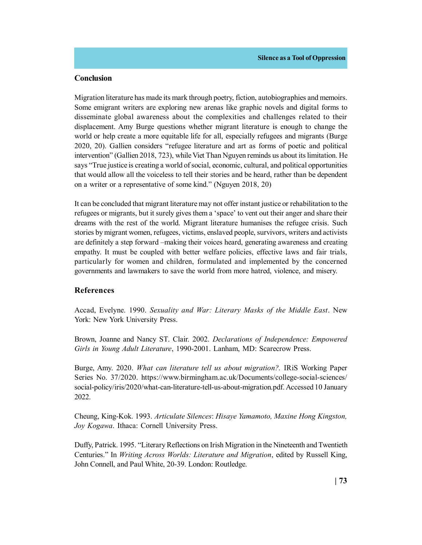### **Conclusion**

Migration literature has made its mark through poetry, fiction, autobiographies and memoirs. Some emigrant writers are exploring new arenas like graphic novels and digital forms to disseminate global awareness about the complexities and challenges related to their displacement. Amy Burge questions whether migrant literature is enough to change the world or help create a more equitable life for all, especially refugees and migrants (Burge 2020, 20). Gallien considers "refugee literature and art as forms of poetic and political intervention" (Gallien 2018, 723), while Viet Than Nguyen reminds us about its limitation. He says "True justice is creating a world of social, economic, cultural, and political opportunities that would allow all the voiceless to tell their stories and be heard, rather than be dependent on a writer or a representative of some kind." (Nguyen 2018, 20)

It can be concluded that migrant literature may not offer instant justice or rehabilitation to the refugees or migrants, but it surely gives them a 'space' to vent out their anger and share their dreams with the rest of the world. Migrant literature humanises the refugee crisis. Such stories by migrant women, refugees, victims, enslaved people, survivors, writers and activists are definitely a step forward –making their voices heard, generating awareness and creating empathy. It must be coupled with better welfare policies, effective laws and fair trials, particularly for women and children, formulated and implemented by the concerned governments and lawmakers to save the world from more hatred, violence, and misery.

### **References**

Accad, Evelyne. 1990. *Sexuality and War: Literary Masks of the Middle East*. New York: New York University Press.

Brown, Joanne and Nancy ST. Clair. 2002. *Declarations of Independence: Empowered Girls in Young Adult Literature*, 1990-2001. Lanham, MD: Scarecrow Press.

Burge, Amy. 2020. *What can literature tell us about migration?.* IRiS Working Paper Series No. 37/2020. https://www.birmingham.ac.uk/Documents/college-social-sciences/ social-policy/iris/2020/what-can-literature-tell-us-about-migration.pdf. Accessed 10 January 2022.

Cheung, King-Kok. 1993. *Articulate Silences*: *Hisaye Yamamoto, Maxine Hong Kingston, Joy Kogawa*. Ithaca: Cornell University Press.

Duffy, Patrick. 1995. "Literary Reflections on Irish Migration in the Nineteenth and Twentieth Centuries." In *Writing Across Worlds: Literature and Migration*, edited by Russell King, John Connell, and Paul White, 20-39. London: Routledge.